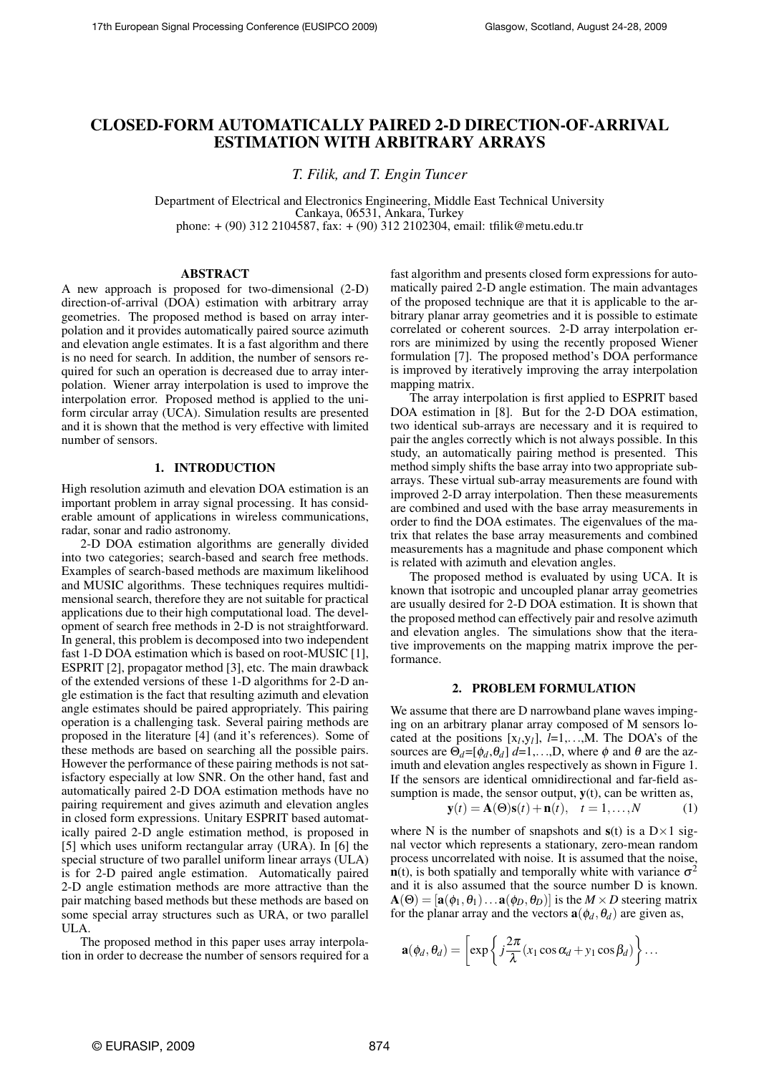# CLOSED-FORM AUTOMATICALLY PAIRED 2-D DIRECTION-OF-ARRIVAL ESTIMATION WITH ARBITRARY ARRAYS

*T. Filik, and T. Engin Tuncer*

Department of Electrical and Electronics Engineering, Middle East Technical University Cankaya, 06531, Ankara, Turkey phone: + (90) 312 2104587, fax: + (90) 312 2102304, email: tfilik@metu.edu.tr

# ABSTRACT

A new approach is proposed for two-dimensional (2-D) direction-of-arrival (DOA) estimation with arbitrary array geometries. The proposed method is based on array interpolation and it provides automatically paired source azimuth and elevation angle estimates. It is a fast algorithm and there is no need for search. In addition, the number of sensors required for such an operation is decreased due to array interpolation. Wiener array interpolation is used to improve the interpolation error. Proposed method is applied to the uniform circular array (UCA). Simulation results are presented and it is shown that the method is very effective with limited number of sensors.

### 1. INTRODUCTION

High resolution azimuth and elevation DOA estimation is an important problem in array signal processing. It has considerable amount of applications in wireless communications, radar, sonar and radio astronomy.

2-D DOA estimation algorithms are generally divided into two categories; search-based and search free methods. Examples of search-based methods are maximum likelihood and MUSIC algorithms. These techniques requires multidimensional search, therefore they are not suitable for practical applications due to their high computational load. The development of search free methods in 2-D is not straightforward. In general, this problem is decomposed into two independent fast 1-D DOA estimation which is based on root-MUSIC [1], ESPRIT [2], propagator method [3], etc. The main drawback of the extended versions of these 1-D algorithms for 2-D angle estimation is the fact that resulting azimuth and elevation angle estimates should be paired appropriately. This pairing operation is a challenging task. Several pairing methods are proposed in the literature [4] (and it's references). Some of these methods are based on searching all the possible pairs. However the performance of these pairing methods is not satisfactory especially at low SNR. On the other hand, fast and automatically paired 2-D DOA estimation methods have no pairing requirement and gives azimuth and elevation angles in closed form expressions. Unitary ESPRIT based automatically paired 2-D angle estimation method, is proposed in [5] which uses uniform rectangular array (URA). In [6] the special structure of two parallel uniform linear arrays (ULA) is for 2-D paired angle estimation. Automatically paired 2-D angle estimation methods are more attractive than the pair matching based methods but these methods are based on some special array structures such as URA, or two parallel ULA.

The proposed method in this paper uses array interpolation in order to decrease the number of sensors required for a fast algorithm and presents closed form expressions for automatically paired 2-D angle estimation. The main advantages of the proposed technique are that it is applicable to the arbitrary planar array geometries and it is possible to estimate correlated or coherent sources. 2-D array interpolation errors are minimized by using the recently proposed Wiener formulation [7]. The proposed method's DOA performance is improved by iteratively improving the array interpolation mapping matrix.

The array interpolation is first applied to ESPRIT based DOA estimation in [8]. But for the 2-D DOA estimation, two identical sub-arrays are necessary and it is required to pair the angles correctly which is not always possible. In this study, an automatically pairing method is presented. This method simply shifts the base array into two appropriate subarrays. These virtual sub-array measurements are found with improved 2-D array interpolation. Then these measurements are combined and used with the base array measurements in order to find the DOA estimates. The eigenvalues of the matrix that relates the base array measurements and combined measurements has a magnitude and phase component which is related with azimuth and elevation angles.

The proposed method is evaluated by using UCA. It is known that isotropic and uncoupled planar array geometries are usually desired for 2-D DOA estimation. It is shown that the proposed method can effectively pair and resolve azimuth and elevation angles. The simulations show that the iterative improvements on the mapping matrix improve the performance.

# 2. PROBLEM FORMULATION

We assume that there are D narrowband plane waves impinging on an arbitrary planar array composed of M sensors located at the positions  $[x_l, y_l]$ ,  $l=1,...,M$ . The DOA's of the sources are  $\Theta_d = [\phi_d, \theta_d]$  *d*=1,...,D, where  $\phi$  and  $\theta$  are the azimuth and elevation angles respectively as shown in Figure 1. If the sensors are identical omnidirectional and far-field assumption is made, the sensor output,  $y(t)$ , can be written as,

$$
\mathbf{y}(t) = \mathbf{A}(\Theta)\mathbf{s}(t) + \mathbf{n}(t), \quad t = 1, \dots, N \tag{1}
$$

where N is the number of snapshots and  $s(t)$  is a  $D \times 1$  signal vector which represents a stationary, zero-mean random process uncorrelated with noise. It is assumed that the noise,  $\mathbf{n}(t)$ , is both spatially and temporally white with variance  $\sigma^2$ and it is also assumed that the source number D is known.  $\mathbf{A}(\Theta) = [\mathbf{a}(\phi_1, \theta_1) \dots \mathbf{a}(\phi_D, \theta_D)]$  is the  $M \times D$  steering matrix for the planar array and the vectors  $\mathbf{a}(\phi_d, \theta_d)$  are given as,

$$
\mathbf{a}(\phi_d, \theta_d) = \left[ \exp \left\{ j \frac{2\pi}{\lambda} (x_1 \cos \alpha_d + y_1 \cos \beta_d) \right\} \dots \right]
$$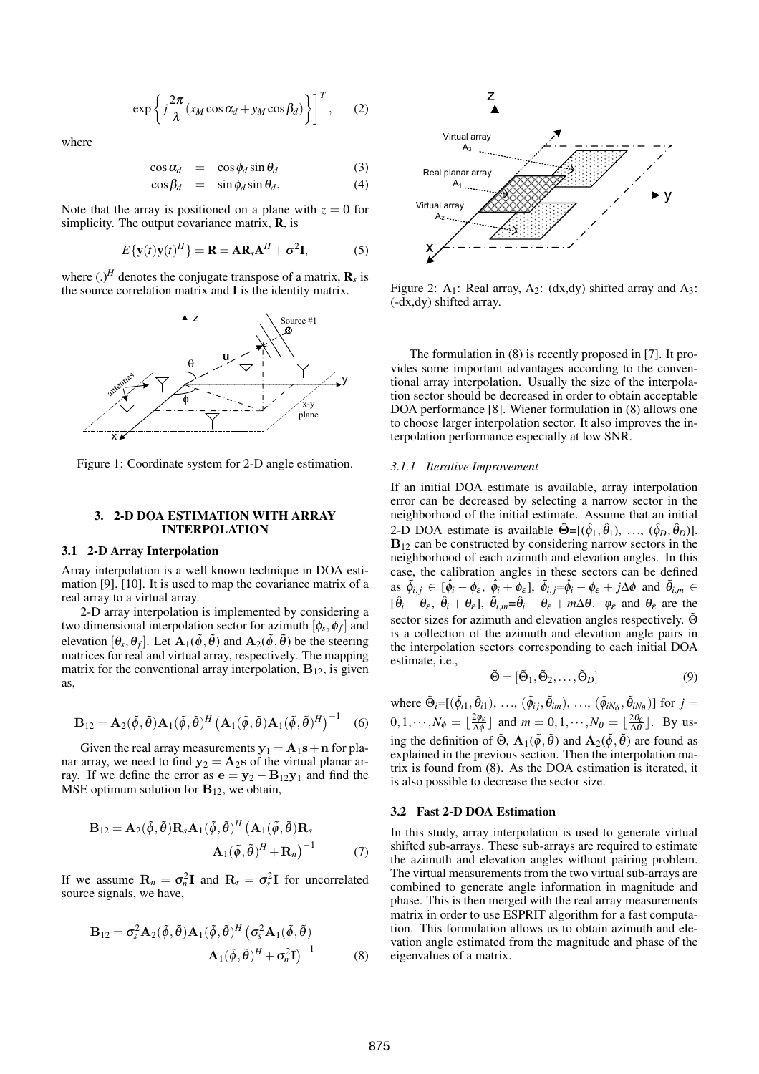$$
\exp\left\{j\frac{2\pi}{\lambda}(x_M\cos\alpha_d + y_M\cos\beta_d)\right\}^T, \quad (2)
$$

where

$$
\cos \alpha_d = \cos \phi_d \sin \theta_d \tag{3}
$$

$$
\cos \beta_d = \sin \phi_d \sin \theta_d. \tag{4}
$$

Note that the array is positioned on a plane with  $z = 0$  for simplicity. The output covariance matrix, **, is** 

$$
E\{\mathbf{y}(t)\mathbf{y}(t)^{H}\} = \mathbf{R} = \mathbf{A}\mathbf{R}_{s}\mathbf{A}^{H} + \sigma^{2}\mathbf{I},
$$
 (5)

where  $(.)^H$  denotes the conjugate transpose of a matrix,  $\mathbf{R}_s$  is the source correlation matrix and I is the identity matrix.



Figure 1: Coordinate system for 2-D angle estimation.

# 3. 2-D DOA ESTIMATION WITH ARRAY INTERPOLATION

### 3.1 2-D Array Interpolation

Array interpolation is a well known technique in DOA estimation [9], [10]. It is used to map the covariance matrix of a real array to a virtual array.

2-D array interpolation is implemented by considering a two dimensional interpolation sector for azimuth  $[\phi_s, \phi_f]$  and elevation  $[\theta_s, \theta_f]$ . Let  $\mathbf{A}_1(\tilde{\phi}, \tilde{\theta})$  and  $\mathbf{A}_2(\tilde{\phi}, \tilde{\theta})$  be the steering matrices for real and virtual array, respectively. The mapping matrix for the conventional array interpolation,  $B_{12}$ , is given as,

$$
\mathbf{B}_{12} = \mathbf{A}_2(\tilde{\phi}, \tilde{\theta}) \mathbf{A}_1(\tilde{\phi}, \tilde{\theta})^H \left( \mathbf{A}_1(\tilde{\phi}, \tilde{\theta}) \mathbf{A}_1(\tilde{\phi}, \tilde{\theta})^H \right)^{-1} \quad (6)
$$

Given the real array measurements  $y_1 = A_1s + n$  for planar array, we need to find  $y_2 = A_2$ s of the virtual planar array. If we define the error as  $e = y_2 - B_{12}y_1$  and find the MSE optimum solution for  $B_{12}$ , we obtain,

$$
\mathbf{B}_{12} = \mathbf{A}_2(\tilde{\phi}, \tilde{\theta}) \mathbf{R}_s \mathbf{A}_1(\tilde{\phi}, \tilde{\theta})^H (\mathbf{A}_1(\tilde{\phi}, \tilde{\theta}) \mathbf{R}_s \mathbf{A}_1(\tilde{\phi}, \tilde{\theta})^H + \mathbf{R}_n)^{-1}
$$
(7)

If we assume  $\mathbf{R}_n = \sigma_n^2 \mathbf{I}$  and  $\mathbf{R}_s = \sigma_s^2 \mathbf{I}$  for uncorrelated source signals, we have,

$$
\mathbf{B}_{12} = \sigma_s^2 \mathbf{A}_2(\tilde{\phi}, \tilde{\theta}) \mathbf{A}_1(\tilde{\phi}, \tilde{\theta})^H (\sigma_s^2 \mathbf{A}_1(\tilde{\phi}, \tilde{\theta})
$$

$$
\mathbf{A}_1(\tilde{\phi}, \tilde{\theta})^H + \sigma_n^2 \mathbf{I})^{-1}
$$
(8)



Figure 2:  $A_1$ : Real array,  $A_2$ : (dx,dy) shifted array and  $A_3$ : (-dx,dy) shifted array.

The formulation in (8) is recently proposed in [7]. It provides some important advantages according to the conventional array interpolation. Usually the size of the interpolation sector should be decreased in order to obtain acceptable DOA performance [8]. Wiener formulation in (8) allows one to choose larger interpolation sector. It also improves the interpolation performance especially at low SNR.

### *3.1.1 Iterative Improvement*

If an initial DOA estimate is available, array interpolation error can be decreased by selecting a narrow sector in the neighborhood of the initial estimate. Assume that an initial 2-D DOA estimate is available  $\hat{\Theta} = [(\hat{\phi}_1, \hat{\theta}_1), \dots, (\hat{\phi}_D, \hat{\theta}_D)].$  $B_{12}$  can be constructed by considering narrow sectors in the neighborhood of each azimuth and elevation angles. In this case, the calibration angles in these sectors can be defined as  $\tilde{\phi}_{i,j} \in [\hat{\phi}_i - \phi_{\varepsilon}, \hat{\phi}_i + \phi_{\varepsilon}], \tilde{\phi}_{i,j} = \hat{\phi}_i - \phi_{\varepsilon} + j\Delta\phi$  and  $\tilde{\theta}_{i,m} \in$  $[\hat{\theta}_i - \theta_{\varepsilon}, \hat{\theta}_i + \theta_{\varepsilon}], \tilde{\theta}_{i,m} = \hat{\theta}_i - \theta_{\varepsilon} + m\Delta\theta$ .  $\phi_{\varepsilon}$  and  $\theta_{\varepsilon}$  are the sector sizes for azimuth and elevation angles respectively.  $\tilde{\Theta}$ is a collection of the azimuth and elevation angle pairs in the interpolation sectors corresponding to each initial DOA estimate, i.e.,

$$
\tilde{\Theta} = [\tilde{\Theta}_1, \tilde{\Theta}_2, \dots, \tilde{\Theta}_D]
$$
\n(9)

where  $\tilde{\Theta}_i = [(\tilde{\phi}_{i1}, \tilde{\theta}_{i1}), \ldots, (\tilde{\phi}_{ij}, \tilde{\theta}_{im}), \ldots, (\tilde{\phi}_{iN_{\phi}}, \tilde{\theta}_{iN_{\theta}})]$  for  $j =$  $0, 1, \cdots, N_\phi = \lfloor \frac{2\phi_\varepsilon}{\Delta \phi} \rfloor$  $\frac{2\phi_{\varepsilon}}{\Delta\phi}$  and  $m = 0, 1, \dots, N_{\theta} = \lfloor \frac{2\theta_{\varepsilon}}{\Delta\theta} \rfloor$ . By using the definition of  $\tilde{\Theta}$ ,  $\mathbf{A}_1(\tilde{\phi}, \tilde{\theta})$  and  $\mathbf{A}_2(\tilde{\phi}, \tilde{\theta})$  are found as explained in the previous section. Then the interpolation matrix is found from (8). As the DOA estimation is iterated, it is also possible to decrease the sector size.

#### 3.2 Fast 2-D DOA Estimation

In this study, array interpolation is used to generate virtual shifted sub-arrays. These sub-arrays are required to estimate the azimuth and elevation angles without pairing problem. The virtual measurements from the two virtual sub-arrays are combined to generate angle information in magnitude and phase. This is then merged with the real array measurements matrix in order to use ESPRIT algorithm for a fast computation. This formulation allows us to obtain azimuth and elevation angle estimated from the magnitude and phase of the eigenvalues of a matrix.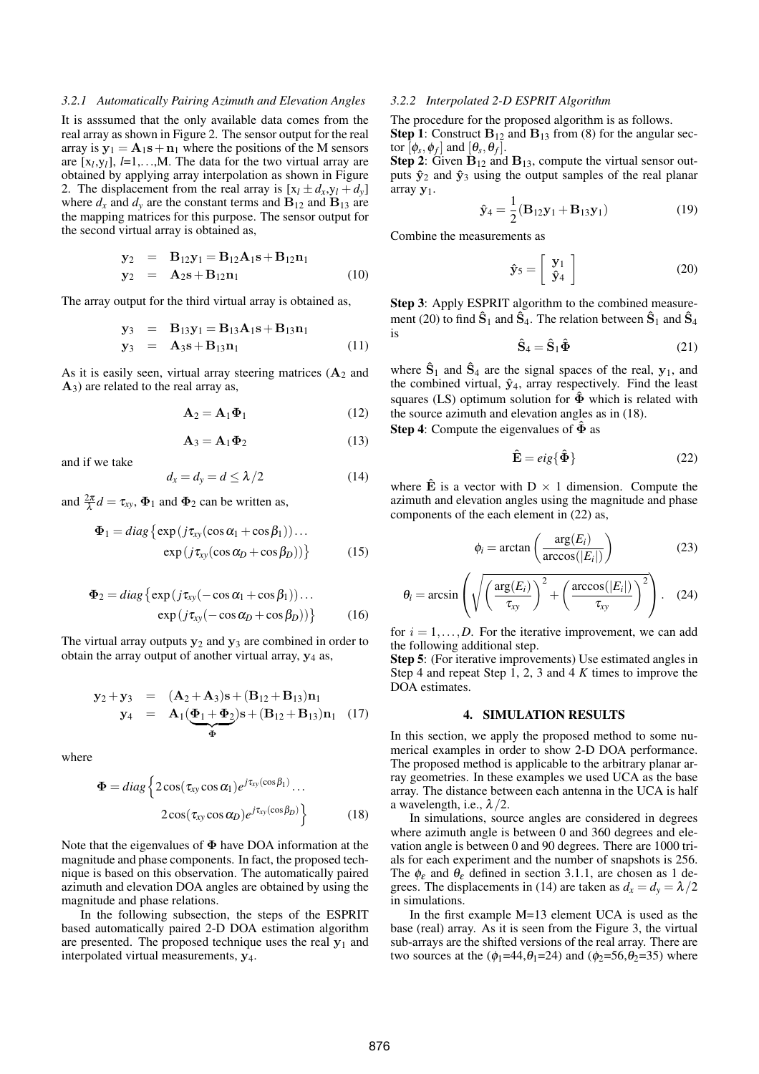#### *3.2.1 Automatically Pairing Azimuth and Elevation Angles*

It is asssumed that the only available data comes from the real array as shown in Figure 2. The sensor output for the real array is  $y_1 = A_1s + n_1$  where the positions of the M sensors are  $[x_l, y_l]$ ,  $l=1,...,M$ . The data for the two virtual array are obtained by applying array interpolation as shown in Figure 2. The displacement from the real array is  $[x_l \pm d_x, y_l + d_y]$ where  $d_x$  and  $d_y$  are the constant terms and  $B_{12}$  and  $B_{13}$  are the mapping matrices for this purpose. The sensor output for the second virtual array is obtained as,

$$
y_2 = B_{12}y_1 = B_{12}A_1s + B_{12}n_1 \n y_2 = A_2s + B_{12}n_1
$$
\n(10)

The array output for the third virtual array is obtained as,

$$
y_3 = B_{13}y_1 = B_{13}A_1s + B_{13}n_1
$$
  
\n
$$
y_3 = A_{3}s + B_{13}n_1
$$
 (11)

As it is easily seen, virtual array steering matrices  $(A_2 \text{ and } B_1)$  $A_3$ ) are related to the real array as,

$$
\mathbf{A}_2 = \mathbf{A}_1 \mathbf{\Phi}_1 \tag{12}
$$

$$
\mathbf{A}_3 = \mathbf{A}_1 \mathbf{\Phi}_2 \tag{13}
$$

and if we take

$$
d_x = d_y = d \le \lambda/2 \tag{14}
$$

and  $\frac{2\pi}{\lambda}d = \tau_{xy}$ ,  $\Phi_1$  and  $\Phi_2$  can be written as,

$$
\Phi_1 = diag \{ exp(j\tau_{xy}(\cos \alpha_1 + \cos \beta_1)) \dots exp(j\tau_{xy}(\cos \alpha_D + \cos \beta_D)) \}
$$
(15)

$$
\Phi_2 = diag \{ exp(j\tau_{xy}(-\cos\alpha_1 + \cos\beta_1)) \dots exp(j\tau_{xy}(-\cos\alpha_0 + \cos\beta_0)) \}
$$
 (16)

The virtual array outputs  $y_2$  and  $y_3$  are combined in order to obtain the array output of another virtual array,  $y_4$  as,

$$
y_2 + y_3 = (A_2 + A_3)s + (B_{12} + B_{13})n_1
$$
  
\n
$$
y_4 = A_1(\underbrace{\Phi_1 + \Phi_2}_{\Phi})s + (B_{12} + B_{13})n_1
$$
 (17)

where

$$
\Phi = diag \left\{ 2\cos(\tau_{xy}\cos\alpha_1)e^{j\tau_{xy}(\cos\beta_1)} \cdots \right.\n2\cos(\tau_{xy}\cos\alpha_D)e^{j\tau_{xy}(\cos\beta_D)} \right\}
$$
\n(18)

Note that the eigenvalues of  $\Phi$  have DOA information at the magnitude and phase components. In fact, the proposed technique is based on this observation. The automatically paired azimuth and elevation DOA angles are obtained by using the magnitude and phase relations.

In the following subsection, the steps of the ESPRIT based automatically paired 2-D DOA estimation algorithm are presented. The proposed technique uses the real  $y_1$  and interpolated virtual measurements, y4.

#### *3.2.2 Interpolated 2-D ESPRIT Algorithm*

The procedure for the proposed algorithm is as follows. **Step 1:** Construct  $B_{12}$  and  $B_{13}$  from (8) for the angular sector  $[\phi_s, \phi_f]$  and  $[\theta_s, \theta_f]$ .

**Step 2:** Given  $\mathbf{B}_{12}$  and  $\mathbf{B}_{13}$ , compute the virtual sensor outputs  $\hat{y}_2$  and  $\hat{y}_3$  using the output samples of the real planar array y1.

$$
\hat{\mathbf{y}}_4 = \frac{1}{2} (\mathbf{B}_{12}\mathbf{y}_1 + \mathbf{B}_{13}\mathbf{y}_1)
$$
 (19)

Combine the measurements as

$$
\hat{\mathbf{y}}_5 = \left[ \begin{array}{c} \mathbf{y}_1 \\ \hat{\mathbf{y}}_4 \end{array} \right] \tag{20}
$$

Step 3: Apply ESPRIT algorithm to the combined measurement (20) to find  $\hat{S}_1$  and  $\hat{S}_4$ . The relation between  $\hat{S}_1$  and  $\hat{S}_4$ is

$$
\hat{\mathbf{S}}_4 = \hat{\mathbf{S}}_1 \hat{\mathbf{\Phi}} \tag{21}
$$

where  $\hat{S}_1$  and  $\hat{S}_4$  are the signal spaces of the real,  $y_1$ , and the combined virtual,  $\hat{y}_4$ , array respectively. Find the least squares (LS) optimum solution for  $\hat{\Phi}$  which is related with the source azimuth and elevation angles as in (18).

**Step 4:** Compute the eigenvalues of  $\hat{\Phi}$  as

$$
\hat{\mathbf{E}} = eig\{\hat{\Phi}\}\tag{22}
$$

where  $\hat{\mathbf{E}}$  is a vector with  $D \times 1$  dimension. Compute the azimuth and elevation angles using the magnitude and phase components of the each element in (22) as,

$$
\phi_i = \arctan\left(\frac{\arg(E_i)}{\arccos(|E_i|)}\right) \tag{23}
$$

$$
\theta_i = \arcsin\left(\sqrt{\left(\frac{\arg(E_i)}{\tau_{xy}}\right)^2 + \left(\frac{\arccos(|E_i|)}{\tau_{xy}}\right)^2}\right). (24)
$$

for  $i = 1, \ldots, D$ . For the iterative improvement, we can add the following additional step.

Step 5: (For iterative improvements) Use estimated angles in Step 4 and repeat Step 1, 2, 3 and 4 *K* times to improve the DOA estimates.

#### 4. SIMULATION RESULTS

In this section, we apply the proposed method to some numerical examples in order to show 2-D DOA performance. The proposed method is applicable to the arbitrary planar array geometries. In these examples we used UCA as the base array. The distance between each antenna in the UCA is half a wavelength, i.e.,  $\lambda/2$ .

In simulations, source angles are considered in degrees where azimuth angle is between 0 and 360 degrees and elevation angle is between 0 and 90 degrees. There are 1000 trials for each experiment and the number of snapshots is 256. The  $\phi_{\varepsilon}$  and  $\theta_{\varepsilon}$  defined in section 3.1.1, are chosen as 1 degrees. The displacements in (14) are taken as  $d_x = d_y = \lambda/2$ in simulations.

In the first example M=13 element UCA is used as the base (real) array. As it is seen from the Figure 3, the virtual sub-arrays are the shifted versions of the real array. There are two sources at the  $(\phi_1=44, \theta_1=24)$  and  $(\phi_2=56, \theta_2=35)$  where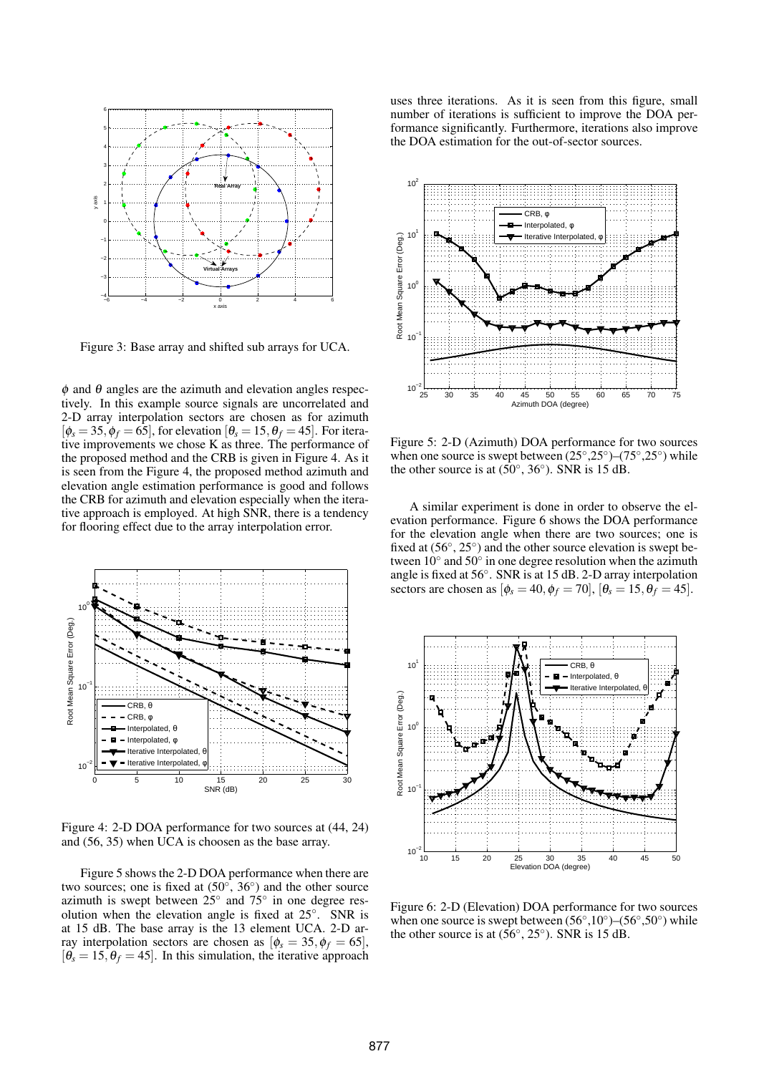

Figure 3: Base array and shifted sub arrays for UCA.

 $\phi$  and  $\theta$  angles are the azimuth and elevation angles respectively. In this example source signals are uncorrelated and 2-D array interpolation sectors are chosen as for azimuth  $[\phi_s = 35, \phi_f = 65]$ , for elevation  $[\theta_s = 15, \theta_f = 45]$ . For iterative improvements we chose K as three. The performance of the proposed method and the CRB is given in Figure 4. As it is seen from the Figure 4, the proposed method azimuth and elevation angle estimation performance is good and follows the CRB for azimuth and elevation especially when the iterative approach is employed. At high SNR, there is a tendency for flooring effect due to the array interpolation error.



Figure 4: 2-D DOA performance for two sources at (44, 24) and (56, 35) when UCA is choosen as the base array.

Figure 5 shows the 2-D DOA performance when there are two sources; one is fixed at  $(50^{\circ}, 36^{\circ})$  and the other source azimuth is swept between  $25^{\circ}$  and  $75^{\circ}$  in one degree resolution when the elevation angle is fixed at  $25^\circ$ . SNR is at 15 dB. The base array is the 13 element UCA. 2-D array interpolation sectors are chosen as  $[\phi_s = 35, \phi_f = 65]$ ,  $[\theta_s = 15, \theta_f = 45]$ . In this simulation, the iterative approach uses three iterations. As it is seen from this figure, small number of iterations is sufficient to improve the DOA performance significantly. Furthermore, iterations also improve the DOA estimation for the out-of-sector sources.



Figure 5: 2-D (Azimuth) DOA performance for two sources when one source is swept between  $(25^{\circ}, 25^{\circ})$  - $(75^{\circ}, 25^{\circ})$  while the other source is at  $(50^{\circ}, 36^{\circ})$ . SNR is 15 dB.

A similar experiment is done in order to observe the elevation performance. Figure 6 shows the DOA performance for the elevation angle when there are two sources; one is fixed at  $(56^\circ, 25^\circ)$  and the other source elevation is swept between  $10^{\circ}$  and  $50^{\circ}$  in one degree resolution when the azimuth angle is fixed at 56◦ . SNR is at 15 dB. 2-D array interpolation sectors are chosen as  $[\phi_s = 40, \phi_f = 70]$ ,  $[\theta_s = 15, \theta_f = 45]$ .



Figure 6: 2-D (Elevation) DOA performance for two sources when one source is swept between  $(56°, 10°)$  – $(56°, 50°)$  while the other source is at  $(56^{\circ}, 25^{\circ})$ . SNR is 15 dB.